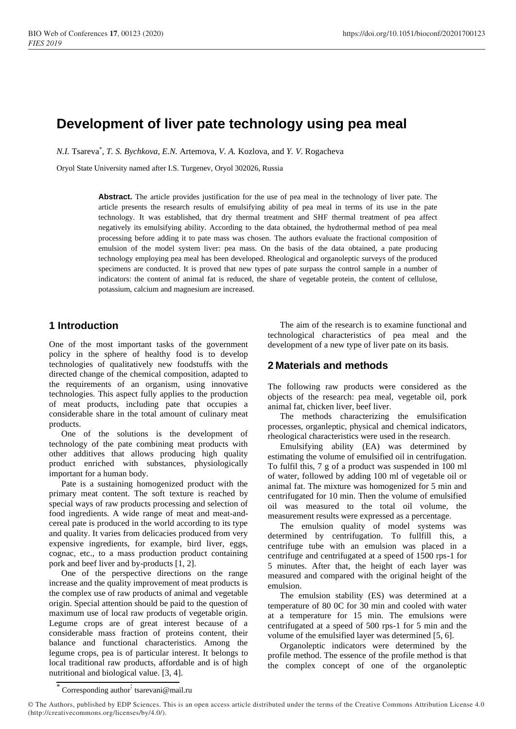# **Development of liver pate technology using pea meal**

*N.I.* Tsareva\* , *T. S. Bychkova*, *E.N.* Artemova, *V. A.* Kozlova, and *Y. V.* Rogacheva

Oryol State University named after I.S. Turgenev, Oryol 302026, Russia

**Abstract.** The article provides justification for the use of pea meal in the technology of liver pate. The article presents the research results of emulsifying ability of pea meal in terms of its use in the pate technology. It was established, that dry thermal treatment and SHF thermal treatment of pea affect negatively its emulsifying ability. According to the data obtained, the hydrothermal method of pea meal processing before adding it to pate mass was chosen. The authors evaluate the fractional composition of emulsion of the model system liver: pea mass. On the basis of the data obtained, a pate producing technology employing pea meal has been developed. Rheological and organoleptic surveys of the produced specimens are conducted. It is proved that new types of pate surpass the control sample in a number of indicators: the content of animal fat is reduced, the share of vegetable protein, the content of cellulose, potassium, calcium and magnesium are increased.

## **1 Introduction**

One of the most important tasks of the government policy in the sphere of healthy food is to develop technologies of qualitatively new foodstuffs with the directed change of the chemical composition, adapted to the requirements of an organism, using innovative technologies. This aspect fully applies to the production of meat products, including pate that occupies a considerable share in the total amount of culinary meat products.

One of the solutions is the development of technology of the pate combining meat products with other additives that allows producing high quality product enriched with substances, physiologically important for a human body.

Pate is a sustaining homogenized product with the primary meat content. The soft texture is reached by special ways of raw products processing and selection of food ingredients. A wide range of meat and meat-andcereal pate is produced in the world according to its type and quality. It varies from delicacies produced from very expensive ingredients, for example, bird liver, eggs, cognac, etc., to a mass production product containing pork and beef liver and by-products [1, 2].

One of the perspective directions on the range increase and the quality improvement of meat products is the complex use of raw products of animal and vegetable origin. Special attention should be paid to the question of maximum use of local raw products of vegetable origin. Legume crops are of great interest because of a considerable mass fraction of proteins content, their balance and functional characteristics. Among the legume crops, pea is of particular interest. It belongs to local traditional raw products, affordable and is of high nutritional and biological value. [3, 4].

The aim of the research is to examine functional and technological characteristics of pea meal and the development of a new type of liver pate on its basis.

## **2 Materials and methods**

The following raw products were considered as the objects of the research: pea meal, vegetable oil, pork animal fat, chicken liver, beef liver.

The methods characterizing the emulsification processes, organleptic, physical and chemical indicators, rheological characteristics were used in the research.

Emulsifying ability (EA) was determined by estimating the volume of emulsified oil in centrifugation. To fulfil this, 7 g of a product was suspended in 100 ml of water, followed by adding 100 ml of vegetable oil or animal fat. The mixture was homogenized for 5 min and centrifugated for 10 min. Then the volume of emulsified oil was measured to the total oil volume, the measurement results were expressed as a percentage.

The emulsion quality of model systems was determined by centrifugation. To fullfill this, a centrifuge tube with an emulsion was placed in a centrifuge and centrifugated at a speed of 1500 rps-1 for 5 minutes. After that, the height of each layer was measured and compared with the original height of the emulsion.

The emulsion stability (ES) was determined at a temperature of 80 0C for 30 min and cooled with water at a temperature for 15 min. The emulsions were centrifugated at a speed of 500 rps-1 for 5 min and the volume of the emulsified layer was determined [5, 6].

Organoleptic indicators were determined by the profile method. The essence of the profile method is that the complex concept of one of the organoleptic

<sup>\*</sup> Corresponding author: tsarevani@mail.ru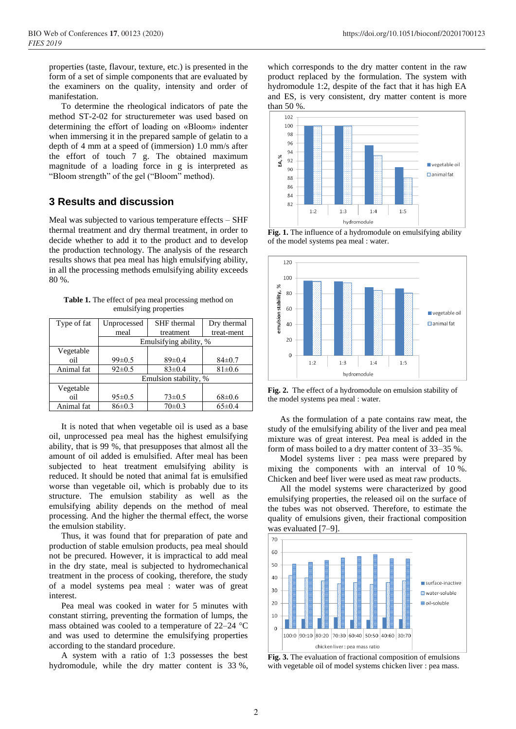properties (taste, flavour, texture, etc.) is presented in the form of a set of simple components that are evaluated by the examiners on the quality, intensity and order of manifestation.

To determine the rheological indicators of pate the method ST-2-02 for structuremeter was used based on determining the effort of loading on «Bloom» indenter when immersing it in the prepared sample of gelatin to a depth of 4 mm at a speed of (immersion) 1.0 mm/s after the effort of touch 7 g. The obtained maximum magnitude of a loading force in g is interpreted as "Bloom strength" of the gel ("Bloom" method).

#### **3 Results and discussion**

Meal was subjected to various temperature effects – SHF thermal treatment and dry thermal treatment, in order to decide whether to add it to the product and to develop the production technology. The analysis of the research results shows that pea meal has high emulsifying ability, in all the processing methods emulsifying ability exceeds 80 %.

**Table 1.** The effect of pea meal processing method on emulsifying properties

| Type of fat | Unprocessed            | SHF thermal  | Dry thermal  |
|-------------|------------------------|--------------|--------------|
|             | meal                   | treatment    | treat-ment   |
|             | Emulsifying ability, % |              |              |
| Vegetable   |                        |              |              |
| oil         | $99 \pm 0.5$           | $89 \pm 0.4$ | $84\pm0.7$   |
| Animal fat  | $92 \pm 0.5$           | $83 \pm 0.4$ | $81 \pm 0.6$ |
|             | Emulsion stability, %  |              |              |
| Vegetable   |                        |              |              |
| oil         | $95 \pm 0.5$           | $73 \pm 0.5$ | $68 \pm 0.6$ |
| Animal fat  | $86 \pm 0.3$           | $70 \pm 0.3$ | $65 \pm 0.4$ |

It is noted that when vegetable oil is used as a base oil, unprocessed pea meal has the highest emulsifying ability, that is 99 %, that presupposes that almost all the amount of oil added is emulsified. After meal has been subjected to heat treatment emulsifying ability is reduced. It should be noted that animal fat is emulsified worse than vegetable oil, which is probably due to its structure. The emulsion stability as well as the emulsifying ability depends on the method of meal processing. And the higher the thermal effect, the worse the emulsion stability.

Thus, it was found that for preparation of pate and production of stable emulsion products, pea meal should not be precured. However, it is impractical to add meal in the dry state, meal is subjected to hydromechanical treatment in the process of cooking, therefore, the study of a model systems pea meal : water was of great interest.

Pea meal was cooked in water for 5 minutes with constant stirring, preventing the formation of lumps, the mass obtained was cooled to a temperature of 22–24 °C and was used to determine the emulsifying properties according to the standard procedure.

A system with a ratio of 1:3 possesses the best hydromodule, while the dry matter content is 33 %,

which corresponds to the dry matter content in the raw product replaced by the formulation. The system with hydromodule 1:2, despite of the fact that it has high EA and ES, is very consistent, dry matter content is more than 50 %.



**Fig. 1.** The influence of a hydromodule on emulsifying ability of the model systems pea meal : water.



**Fig. 2.** The effect of a hydromodule on emulsion stability of the model systems pea meal : water.

As the formulation of a pate contains raw meat, the study of the emulsifying ability of the liver and pea meal mixture was of great interest. Pea meal is added in the form of mass boiled to a dry matter content of 33–35 %.

Model systems liver : pea mass were prepared by mixing the components with an interval of 10 %. Chicken and beef liver were used as meat raw products.

All the model systems were characterized by good emulsifying properties, the released oil on the surface of the tubes was not observed. Therefore, to estimate the quality of emulsions given, their fractional composition was evaluated [7–9].



**Fig. 3.** The evaluation of fractional composition of emulsions with vegetable oil of model systems chicken liver : pea mass.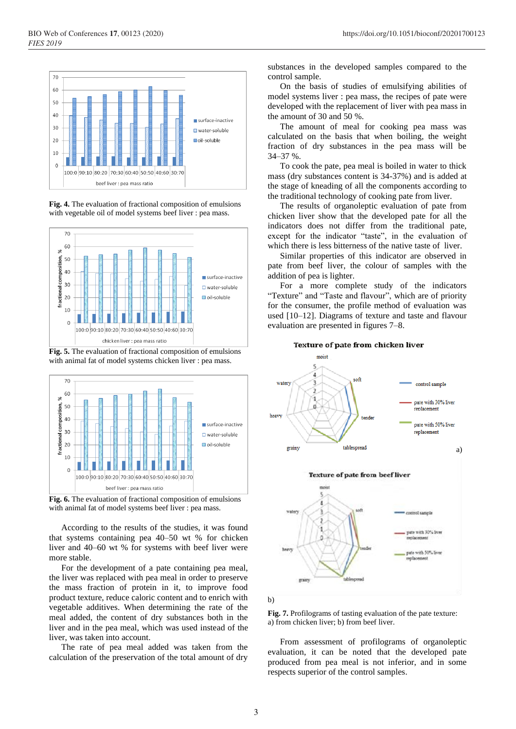

**Fig. 4.** The evaluation of fractional composition of emulsions with vegetable oil of model systems beef liver : pea mass.



**Fig. 5.** The evaluation of fractional composition of emulsions with animal fat of model systems chicken liver : pea mass.



**Fig. 6.** The evaluation of fractional composition of emulsions with animal fat of model systems beef liver : pea mass.

According to the results of the studies, it was found that systems containing pea 40–50 wt % for chicken liver and 40–60 wt % for systems with beef liver were more stable.

For the development of a pate containing pea meal, the liver was replaced with pea meal in order to preserve the mass fraction of protein in it, to improve food product texture, reduce caloric content and to enrich with vegetable additives. When determining the rate of the meal added, the content of dry substances both in the liver and in the pea meal, which was used instead of the liver, was taken into account.

The rate of pea meal added was taken from the calculation of the preservation of the total amount of dry

substances in the developed samples compared to the control sample.

On the basis of studies of emulsifying abilities of model systems liver : pea mass, the recipes of pate were developed with the replacement of liver with pea mass in the amount of 30 and 50 %.

The amount of meal for cooking pea mass was calculated on the basis that when boiling, the weight fraction of dry substances in the pea mass will be 34–37 %.

To cook the pate, pea meal is boiled in water to thick mass (dry substances content is 34-37%) and is added at the stage of kneading of all the components according to the traditional technology of cooking pate from liver.

The results of organoleptic evaluation of pate from chicken liver show that the developed pate for all the indicators does not differ from the traditional pate, except for the indicator "taste", in the evaluation of which there is less bitterness of the native taste of liver.

Similar properties of this indicator are observed in pate from beef liver, the colour of samples with the addition of pea is lighter.

For a more complete study of the indicators "Texture" and "Taste and flavour", which are of priority for the consumer, the profile method of evaluation was used [10–12]. Diagrams of texture and taste and flavour evaluation are presented in figures 7–8.



b)

**Fig. 7.** Profilograms of tasting evaluation of the pate texture: a) from chicken liver; b) from beef liver.

From assessment of profilograms of organoleptic evaluation, it can be noted that the developed pate produced from pea meal is not inferior, and in some respects superior of the control samples.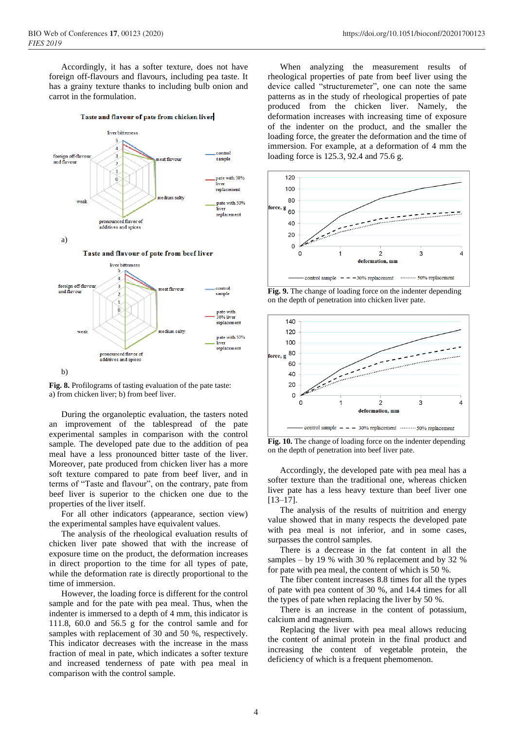Accordingly, it has a softer texture, does not have foreign off-flavours and flavours, including pea taste. It has a grainy texture thanks to including bulb onion and carrot in the formulation.

Taste and flavour of pate from chicken liver

liver hittemess control foreign off-flavou 3 eat flavour sample and flavour 1 pate with 30% ö .<br>Kuran replaceme medium salty pate with 50% .<br>liver replacement pronounced flavor of additives and spices a)



**Fig. 8.** Profilograms of tasting evaluation of the pate taste: a) from chicken liver; b) from beef liver.

During the organoleptic evaluation, the tasters noted an improvement of the tablespread of the pate experimental samples in comparison with the control sample. The developed pate due to the addition of pea meal have a less pronounced bitter taste of the liver. Moreover, pate produced from chicken liver has a more soft texture compared to pate from beef liver, and in terms of "Taste and flavour", on the contrary, pate from beef liver is superior to the chicken one due to the properties of the liver itself.

For all other indicators (appearance, section view) the experimental samples have equivalent values.

The analysis of the rheological evaluation results of chicken liver pate showed that with the increase of exposure time on the product, the deformation increases in direct proportion to the time for all types of pate, while the deformation rate is directly proportional to the time of immersion.

However, the loading force is different for the control sample and for the pate with pea meal. Thus, when the indenter is immersed to a depth of 4 mm, this indicator is 111.8, 60.0 and 56.5 g for the control samle and for samples with replacement of 30 and 50 %, respectively. This indicator decreases with the increase in the mass fraction of meal in pate, which indicates a softer texture and increased tenderness of pate with pea meal in comparison with the control sample.

When analyzing the measurement results of rheological properties of pate from beef liver using the device called "structuremeter", one can note the same patterns as in the study of rheological properties of pate produced from the chicken liver. Namely, the deformation increases with increasing time of exposure of the indenter on the product, and the smaller the loading force, the greater the deformation and the time of immersion. For example, at a deformation of 4 mm the loading force is 125.3, 92.4 and 75.6 g.



**Fig. 9.** The change of loading force on the indenter depending on the depth of penetration into chicken liver pate.



**Fig. 10.** The change of loading force on the indenter depending on the depth of penetration into beef liver pate.

Accordingly, the developed pate with pea meal has a softer texture than the traditional one, whereas chicken liver pate has a less heavy texture than beef liver one [13–17].

The analysis of the results of nuitrition and energy value showed that in many respects the developed pate with pea meal is not inferior, and in some cases, surpasses the control samples.

There is a decrease in the fat content in all the samples – by 19 % with 30 % replacement and by 32 % for pate with pea meal, the content of which is 50 %.

The fiber content increases 8.8 times for all the types of pate with pea content of 30 %, and 14.4 times for all the types of pate when replacing the liver by 50 %.

There is an increase in the content of potassium, calcium and magnesium.

Replacing the liver with pea meal allows reducing the content of animal protein in the final product and increasing the content of vegetable protein, the deficiency of which is a frequent phemomenon.